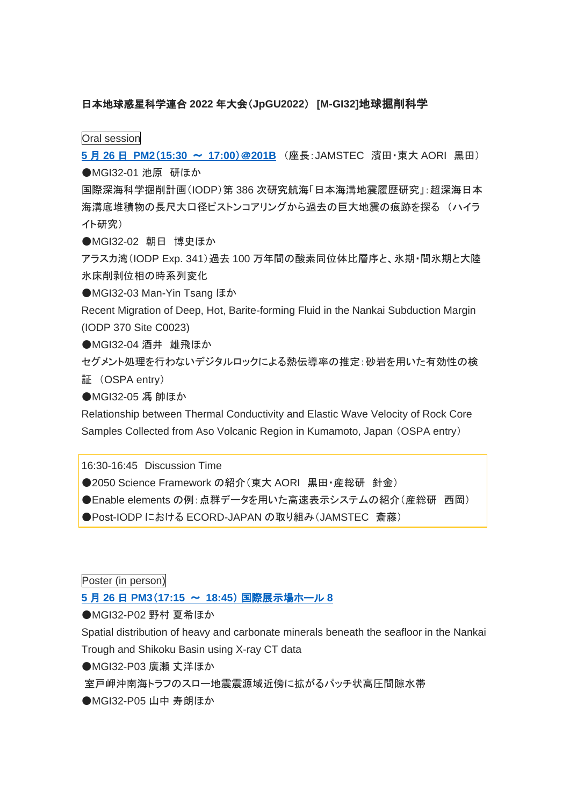## 日本地球惑星科学連合 **2022** 年大会(**JpGU2022**) **[M-GI32]**地球掘削科学

Oral session

**5** 月 **26** 日 **PM2**(**[15:30](https://confit.atlas.jp/guide/event/jpgu2022/session/MGI32_26PM1/tables?kkeCTPbGBJ)** 〜 **17:00**)@**201B** (座長:JAMSTEC 濱田・東大 AORI 黒田) **●MGI32-01 池原 研ほか** 

国際深海科学掘削計画(IODP)第 386 次研究航海「日本海溝地震履歴研究」:超深海日本 海溝底堆積物の長尺大口径ピストンコアリングから過去の巨大地震の痕跡を探る (ハイラ イト研究)

●MGI32-02 朝日 博史ほか

アラスカ湾(IODP Exp. 341)過去 100 万年間の酸素同位体比層序と、氷期・間氷期と大陸 氷床削剥位相の時系列変化

●MGI32-03 Man-Yin Tsang ほか

Recent Migration of Deep, Hot, Barite-forming Fluid in the Nankai Subduction Margin (IODP 370 Site C0023)

**●MGI32-04 酒井 雄飛ほか** 

セグメント処理を行わないデジタルロックによる熱伝導率の推定:砂岩を用いた有効性の検 証 (OSPA entry)

●MGI32-05 馮 帥ほか

Relationship between Thermal Conductivity and Elastic Wave Velocity of Rock Core Samples Collected from Aso Volcanic Region in Kumamoto, Japan (OSPA entry)

16:30-16:45 Discussion Time

●2050 Science Framework の紹介 (東大 AORI 黒田・産総研 針金)

●Enable elements の例:点群データを用いた高速表示システムの紹介(産総研 西岡)

●Post-IODP における ECORD-JAPAN の取り組み (JAMSTEC 斎藤)

Poster (in person)

## **5** 月 **26** 日 **PM3**(**17:15** 〜 **18:45**) [国際展示場ホール](https://confit.atlas.jp/guide/event/jpgu2022/session/MGI32_3PO1a/tables?EvAoQVzKYa) **8**

**●MGI32-P02 野村 夏希ほか** 

Spatial distribution of heavy and carbonate minerals beneath the seafloor in the Nankai Trough and Shikoku Basin using X-ray CT data

**●MGI32-P03 廣瀬 丈洋ほか** 

室戸岬沖南海トラフのスロー地震震源域近傍に拡がるパッチ状高圧間隙水帯

**●MGI32-P05 山中 寿朗ほか**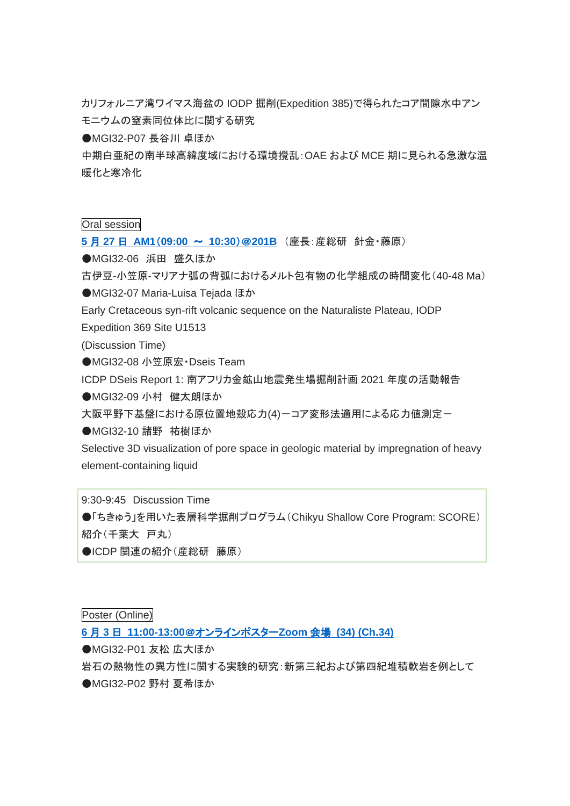カリフォルニア湾ワイマス海盆の IODP 掘削(Expedition 385)で得られたコア間隙水中アン モニウムの窒素同位体比に関する研究

**●MGI32-P07 長谷川 卓ほか** 

中期白亜紀の南半球高緯度域における環境攪乱:OAE および MCE 期に見られる急激な温 暖化と寒冷化

## Oral session

**5** 月 **27** 日 **AM1**(**[09:00](https://confit.atlas.jp/guide/event/jpgu2022/session/MGI32_27AM1/tables?BcsgpIMUWn)** 〜 **10:30**)@**201B** (座長:産総研 針金・藤原)

●MGI32-06 浜田 盛久ほか

古伊豆-小笠原-マリアナ弧の背弧におけるメルト包有物の化学組成の時間変化(40-48 Ma)

●MGI32-07 Maria-Luisa Tejada ほか

Early Cretaceous syn-rift volcanic sequence on the Naturaliste Plateau, IODP

Expedition 369 Site U1513

(Discussion Time)

●MGI32-08 小笠原宏·Dseis Team

ICDP DSeis Report 1: 南アフリカ金鉱山地震発生場掘削計画 2021 年度の活動報告

**●MGI32-09 小村 健太朗ほか** 

大阪平野下基盤における原位置地殻応力(4)ーコア変形法適用による応力値測定ー

●MGI32-10 諸野 祐樹ほか

Selective 3D visualization of pore space in geologic material by impregnation of heavy element-containing liquid

9:30-9:45 Discussion Time ●「ちきゅう」を用いた表層科学掘削プログラム(Chikyu Shallow Core Program: SCORE) 紹介(千葉大 戸丸)

●ICDP 関連の紹介(産総研 藤原)

Poster (Online)

## **6** 月 **3** 日 **11:00-13:00**[@オンラインポスター](https://confit.atlas.jp/guide/event/jpgu2022/session/MGI32_3PO1/advanced)**Zoom** 会場 **(34) (Ch.34)**

**●MGI32-P01 友松 広大ほか** 

岩石の熱物性の異方性に関する実験的研究:新第三紀および第四紀堆積軟岩を例として

**●MGI32-P02 野村 夏希ほか**